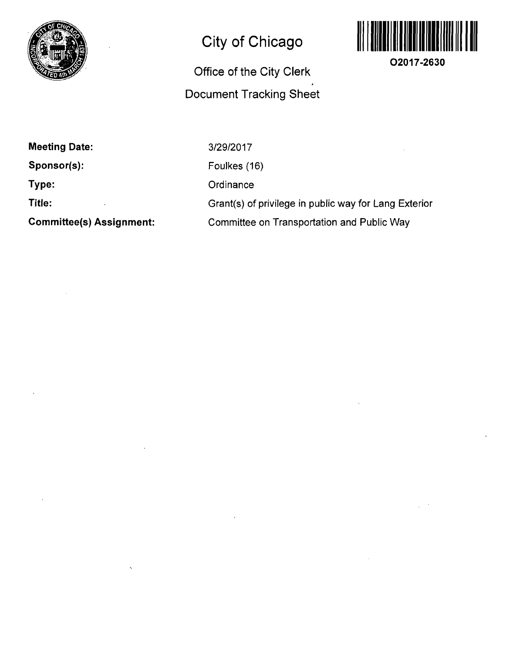

## **City of Chicago**

## **Office of the City Clerk Document Tracking Sheet**



**O2017-2630** 

**Meeting Date: Sponsor(s): Type: Title:** 

**Committee(s) Assignment:** 

3/29/2017 Foulkes (16) **Ordinance** Grant(s) of privilege in public way for Lang Exterior Committee on Transportation and Public Way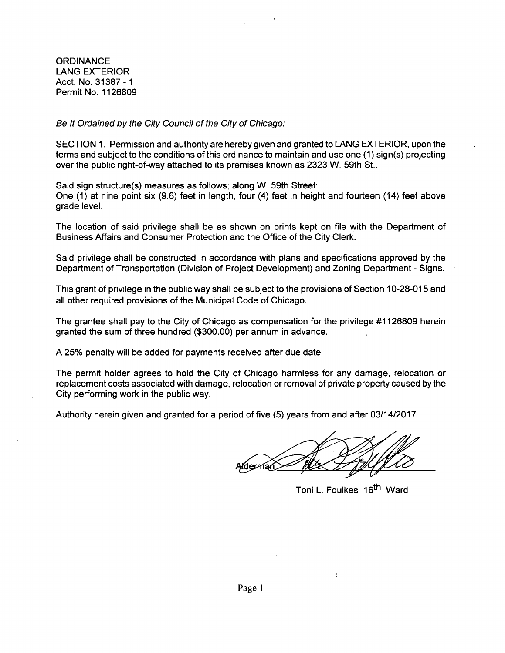**ORDINANCE** LANG EXTERIOR Acct. No. 31387-1 Permit No. 1126809

Be It Ordained by the City Council of the City of Chicago:

SECTION 1. Permission and authority are hereby given and granted to LANG EXTERIOR, upon the terms and subject to the conditions of this ordinance to maintain and use one (1) sign(s) projecting over the public right-of-way attached to its premises known as 2323 W. 59th St..

Said sign structure(s) measures as follows; along W. 59th Street: One (1) at nine point six (9.6) feet in length, four (4) feet in height and fourteen (14) feet above grade level.

The location of said privilege shall be as shown on prints kept on file with the Department of Business Affairs and Consumer Protection and the Office of the City Clerk.

Said privilege shall be constructed in accordance with plans and specifications approved by the Department of Transportation (Division of Project Development) and Zoning Department - Signs.

This grant of privilege in the public way shall be subject to the provisions of Section 10-28-015 and all other required provisions of the Municipal Code of Chicago.

The grantee shall pay to the City of Chicago as compensation for the privilege #1126809 herein granted the sum of three hundred (\$300.00) per annum in advance.

A 25% penalty will be added for payments received after due date.

The permit holder agrees to hold the City of Chicago harmless for any damage, relocation or replacement costs associated with damage, relocation or removal of private property caused by the City performing work in the public way.

Authority herein given and granted for a period of five (5) years from and after 03/14/2017.

viderman

÷

Toni L. Foulkes 16<sup>th</sup> Ward